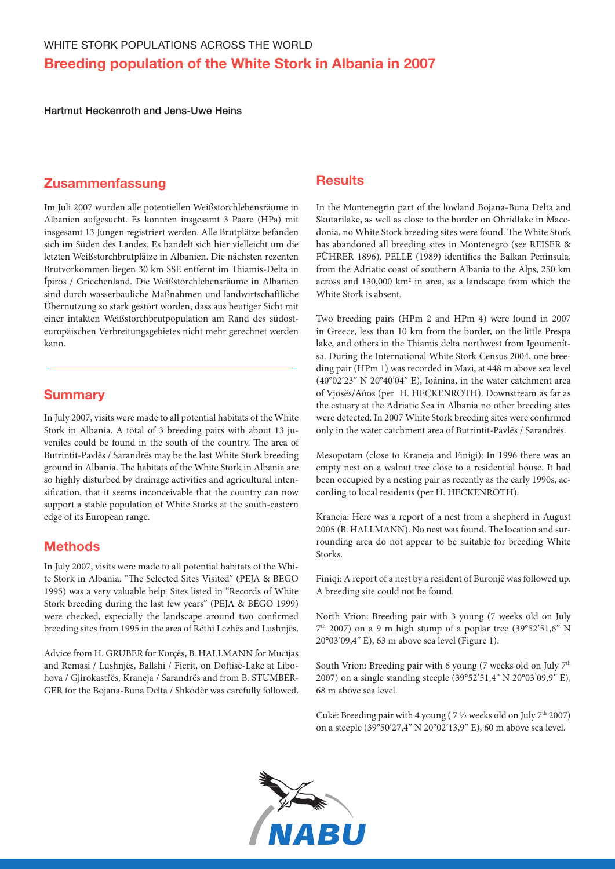Hartmut Heckenroth and Jens-Uwe Heins

# Zusammenfassung

Im Juli 2007 wurden alle potentiellen Weißstorchlebensräume in Albanien aufgesucht. Es konnten insgesamt 3 Paare (HPa) mit insgesamt 13 Jungen registriert werden. Alle Brutplätze befanden sich im Süden des Landes. Es handelt sich hier vielleicht um die letzten Weißstorchbrutplätze in Albanien. Die nächsten rezenten Brutvorkommen liegen 30 km SSE entfernt im Thiamis-Delta in Ípiros / Griechenland. Die Weißstorchlebensräume in Albanien sind durch wasserbauliche Maßnahmen und landwirtschaftliche Übernutzung so stark gestört worden, dass aus heutiger Sicht mit einer intakten Weißstorchbrutpopulation am Rand des südosteuropäischen Verbreitungsgebietes nicht mehr gerechnet werden kann.

## **Summary**

In July 2007, visits were made to all potential habitats of the White Stork in Albania. A total of 3 breeding pairs with about 13 juveniles could be found in the south of the country. The area of Butrintit-Pavlёs / Sarandrёs may be the last White Stork breeding ground in Albania. The habitats of the White Stork in Albania are so highly disturbed by drainage activities and agricultural intensification, that it seems inconceivable that the country can now support a stable population of White Storks at the south-eastern edge of its European range.

# **Methods**

In July 2007, visits were made to all potential habitats of the White Stork in Albania. "The Selected Sites Visited" (PEJA & BEGO 1995) was a very valuable help. Sites listed in "Records of White Stork breeding during the last few years" (PEJA & BEGO 1999) were checked, especially the landscape around two confirmed breeding sites from 1995 in the area of Rёthi Lezhёs and Lushnjёs.

Advice from H. GRUBER for Korçёs, B. HALLMANN for Mucĭjas and Remasi / Lushnjёs, Ballshi / Fierit, on Doftisё-Lake at Libohova / Gjirokastřёs, Kraneja / Sarandrёs and from B. STUMBER-GER for the Bojana-Buna Delta / Shkodёr was carefully followed.

## **Results**

In the Montenegrin part of the lowland Bojana-Buna Delta and Skutarilake, as well as close to the border on Ohridlake in Macedonia, no White Stork breeding sites were found. The White Stork has abandoned all breeding sites in Montenegro (see REISER & FÜHRER 1896). PELLE (1989) identifies the Balkan Peninsula, from the Adriatic coast of southern Albania to the Alps, 250 km across and 130,000 km<sup>2</sup> in area, as a landscape from which the White Stork is absent.

Two breeding pairs (HPm 2 and HPm 4) were found in 2007 in Greece, less than 10 km from the border, on the little Prespa lake, and others in the Thiamis delta northwest from Igoumenítsa. During the International White Stork Census 2004, one breeding pair (HPm 1) was recorded in Mazi, at 448 m above sea level (40°02'23'' N 20°40'04'' E), Ioánina, in the water catchment area of Vjosёs/Aóos (per H. HECKENROTH). Downstream as far as the estuary at the Adriatic Sea in Albania no other breeding sites were detected. In 2007 White Stork breeding sites were confirmed only in the water catchment area of Butrintit-Pavlёs / Sarandrёs.

Mesopotam (close to Kraneja and Finigi): In 1996 there was an empty nest on a walnut tree close to a residential house. It had been occupied by a nesting pair as recently as the early 1990s, according to local residents (per H. HECKENROTH).

Kraneja: Here was a report of a nest from a shepherd in August 2005 (B. HALLMANN). No nest was found. The location and surrounding area do not appear to be suitable for breeding White Storks.

Finiqi: A report of a nest by a resident of Buronjё was followed up. A breeding site could not be found.

North Vrion: Breeding pair with 3 young (7 weeks old on July  $7<sup>th</sup>$  2007) on a 9 m high stump of a poplar tree (39°52'51,6" N 20°03'09,4'' E), 63 m above sea level (Figure 1).

South Vrion: Breeding pair with 6 young (7 weeks old on July  $7<sup>th</sup>$ 2007) on a single standing steeple (39°52'51,4'' N 20°03'09,9'' E), 68 m above sea level.

Cukё: Breeding pair with 4 young ( 7 ½ weeks old on July 7th 2007) on a steeple (39°50'27,4'' N 20°02'13,9'' E), 60 m above sea level.